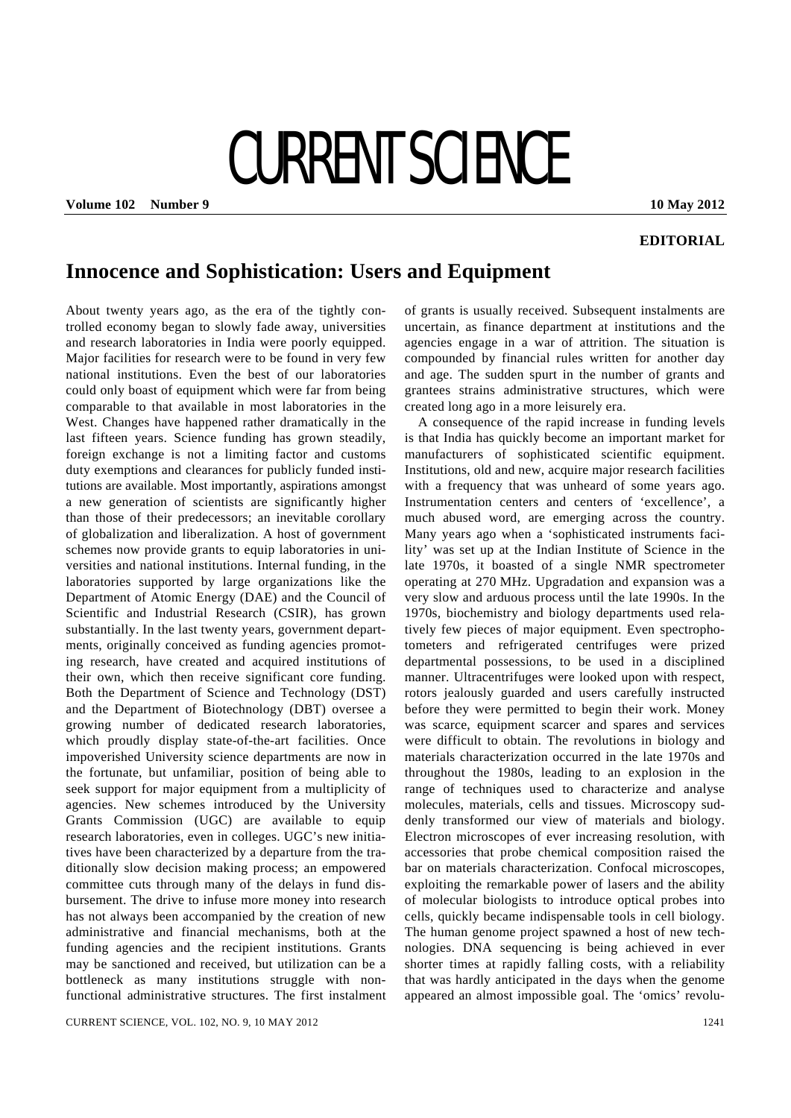## CURRENT SCIENCE

**Volume 102 • Number 9 10 May 2012** 

## **EDITORIAL**

## **Innocence and Sophistication: Users and Equipment**

About twenty years ago, as the era of the tightly controlled economy began to slowly fade away, universities and research laboratories in India were poorly equipped. Major facilities for research were to be found in very few national institutions. Even the best of our laboratories could only boast of equipment which were far from being comparable to that available in most laboratories in the West. Changes have happened rather dramatically in the last fifteen years. Science funding has grown steadily, foreign exchange is not a limiting factor and customs duty exemptions and clearances for publicly funded institutions are available. Most importantly, aspirations amongst a new generation of scientists are significantly higher than those of their predecessors; an inevitable corollary of globalization and liberalization. A host of government schemes now provide grants to equip laboratories in universities and national institutions. Internal funding, in the laboratories supported by large organizations like the Department of Atomic Energy (DAE) and the Council of Scientific and Industrial Research (CSIR), has grown substantially. In the last twenty years, government departments, originally conceived as funding agencies promoting research, have created and acquired institutions of their own, which then receive significant core funding. Both the Department of Science and Technology (DST) and the Department of Biotechnology (DBT) oversee a growing number of dedicated research laboratories, which proudly display state-of-the-art facilities. Once impoverished University science departments are now in the fortunate, but unfamiliar, position of being able to seek support for major equipment from a multiplicity of agencies. New schemes introduced by the University Grants Commission (UGC) are available to equip research laboratories, even in colleges. UGC's new initiatives have been characterized by a departure from the traditionally slow decision making process; an empowered committee cuts through many of the delays in fund disbursement. The drive to infuse more money into research has not always been accompanied by the creation of new administrative and financial mechanisms, both at the funding agencies and the recipient institutions. Grants may be sanctioned and received, but utilization can be a bottleneck as many institutions struggle with nonfunctional administrative structures. The first instalment

of grants is usually received. Subsequent instalments are uncertain, as finance department at institutions and the agencies engage in a war of attrition. The situation is compounded by financial rules written for another day and age. The sudden spurt in the number of grants and grantees strains administrative structures, which were created long ago in a more leisurely era.

 A consequence of the rapid increase in funding levels is that India has quickly become an important market for manufacturers of sophisticated scientific equipment. Institutions, old and new, acquire major research facilities with a frequency that was unheard of some years ago. Instrumentation centers and centers of 'excellence', a much abused word, are emerging across the country. Many years ago when a 'sophisticated instruments facility' was set up at the Indian Institute of Science in the late 1970s, it boasted of a single NMR spectrometer operating at 270 MHz. Upgradation and expansion was a very slow and arduous process until the late 1990s. In the 1970s, biochemistry and biology departments used relatively few pieces of major equipment. Even spectrophotometers and refrigerated centrifuges were prized departmental possessions, to be used in a disciplined manner. Ultracentrifuges were looked upon with respect, rotors jealously guarded and users carefully instructed before they were permitted to begin their work. Money was scarce, equipment scarcer and spares and services were difficult to obtain. The revolutions in biology and materials characterization occurred in the late 1970s and throughout the 1980s, leading to an explosion in the range of techniques used to characterize and analyse molecules, materials, cells and tissues. Microscopy suddenly transformed our view of materials and biology. Electron microscopes of ever increasing resolution, with accessories that probe chemical composition raised the bar on materials characterization. Confocal microscopes, exploiting the remarkable power of lasers and the ability of molecular biologists to introduce optical probes into cells, quickly became indispensable tools in cell biology. The human genome project spawned a host of new technologies. DNA sequencing is being achieved in ever shorter times at rapidly falling costs, with a reliability that was hardly anticipated in the days when the genome appeared an almost impossible goal. The 'omics' revolu